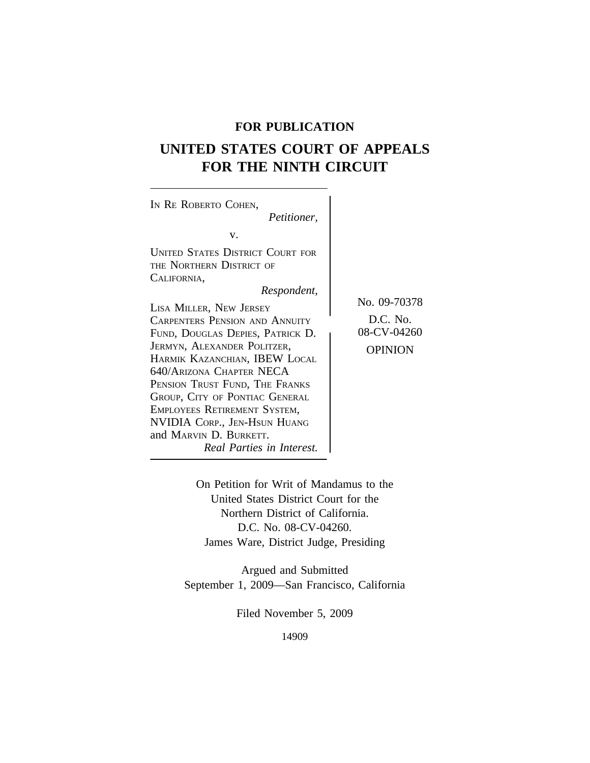# **FOR PUBLICATION**

# **UNITED STATES COURT OF APPEALS FOR THE NINTH CIRCUIT**

 $\overline{\phantom{a}}$ 

| IN RE ROBERTO COHEN,<br><i>Petitioner,</i>                                                                                                                                                                                                                                                                                                                                                                                                                   |                                                           |
|--------------------------------------------------------------------------------------------------------------------------------------------------------------------------------------------------------------------------------------------------------------------------------------------------------------------------------------------------------------------------------------------------------------------------------------------------------------|-----------------------------------------------------------|
|                                                                                                                                                                                                                                                                                                                                                                                                                                                              |                                                           |
| V.                                                                                                                                                                                                                                                                                                                                                                                                                                                           |                                                           |
| UNITED STATES DISTRICT COURT FOR<br>THE NORTHERN DISTRICT OF<br>CALIFORNIA,<br>Respondent,<br>LISA MILLER, NEW JERSEY<br><b>CARPENTERS PENSION AND ANNUITY</b><br>FUND, DOUGLAS DEPIES, PATRICK D.<br>JERMYN, ALEXANDER POLITZER,<br>HARMIK KAZANCHIAN, IBEW LOCAL<br>640/ARIZONA CHAPTER NECA<br>PENSION TRUST FUND, THE FRANKS<br>GROUP, CITY OF PONTIAC GENERAL<br>EMPLOYEES RETIREMENT SYSTEM,<br>NVIDIA CORP., JEN-HSUN HUANG<br>and MARVIN D. BURKETT. | No. 09-70378<br>D.C. No.<br>08-CV-04260<br><b>OPINION</b> |
| Real Parties in Interest.                                                                                                                                                                                                                                                                                                                                                                                                                                    |                                                           |
|                                                                                                                                                                                                                                                                                                                                                                                                                                                              |                                                           |

On Petition for Writ of Mandamus to the United States District Court for the Northern District of California. D.C. No. 08-CV-04260. James Ware, District Judge, Presiding

Argued and Submitted September 1, 2009—San Francisco, California

Filed November 5, 2009

14909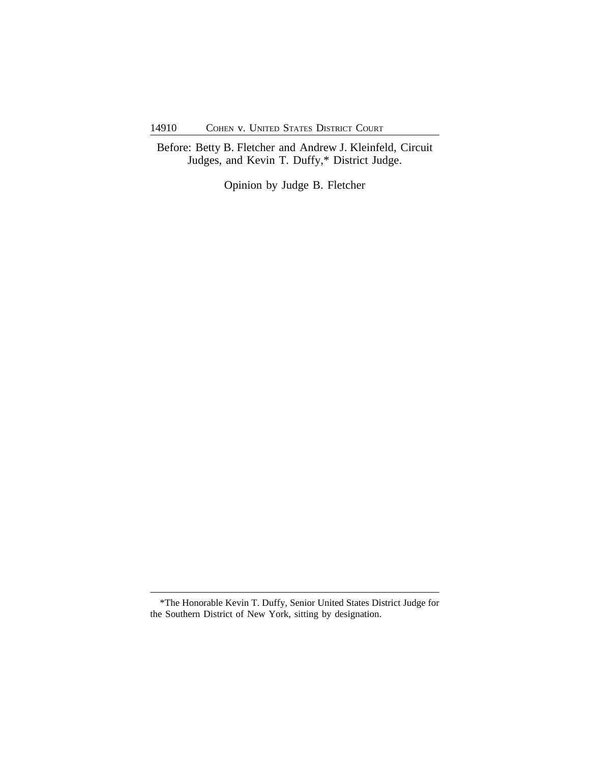Before: Betty B. Fletcher and Andrew J. Kleinfeld, Circuit Judges, and Kevin T. Duffy,\* District Judge.

Opinion by Judge B. Fletcher

<sup>\*</sup>The Honorable Kevin T. Duffy, Senior United States District Judge for the Southern District of New York, sitting by designation.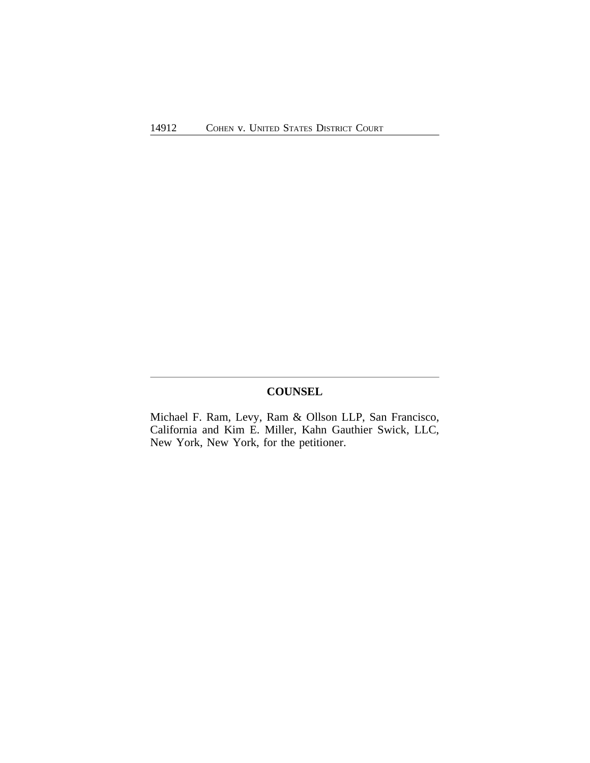## **COUNSEL**

Michael F. Ram, Levy, Ram & Ollson LLP, San Francisco, California and Kim E. Miller, Kahn Gauthier Swick, LLC, New York, New York, for the petitioner.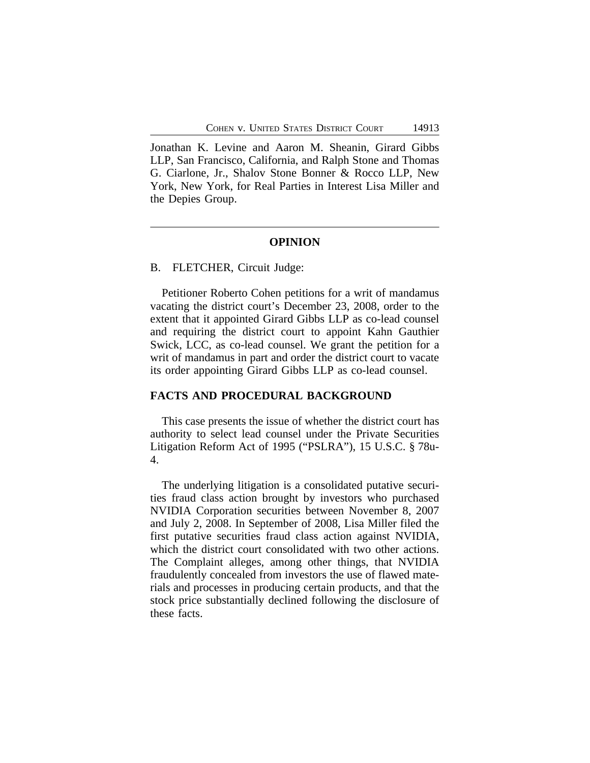Jonathan K. Levine and Aaron M. Sheanin, Girard Gibbs LLP, San Francisco, California, and Ralph Stone and Thomas G. Ciarlone, Jr., Shalov Stone Bonner & Rocco LLP, New York, New York, for Real Parties in Interest Lisa Miller and the Depies Group.

#### **OPINION**

#### B. FLETCHER, Circuit Judge:

Petitioner Roberto Cohen petitions for a writ of mandamus vacating the district court's December 23, 2008, order to the extent that it appointed Girard Gibbs LLP as co-lead counsel and requiring the district court to appoint Kahn Gauthier Swick, LCC, as co-lead counsel. We grant the petition for a writ of mandamus in part and order the district court to vacate its order appointing Girard Gibbs LLP as co-lead counsel.

#### **FACTS AND PROCEDURAL BACKGROUND**

This case presents the issue of whether the district court has authority to select lead counsel under the Private Securities Litigation Reform Act of 1995 ("PSLRA"), 15 U.S.C. § 78u-4.

The underlying litigation is a consolidated putative securities fraud class action brought by investors who purchased NVIDIA Corporation securities between November 8, 2007 and July 2, 2008. In September of 2008, Lisa Miller filed the first putative securities fraud class action against NVIDIA, which the district court consolidated with two other actions. The Complaint alleges, among other things, that NVIDIA fraudulently concealed from investors the use of flawed materials and processes in producing certain products, and that the stock price substantially declined following the disclosure of these facts.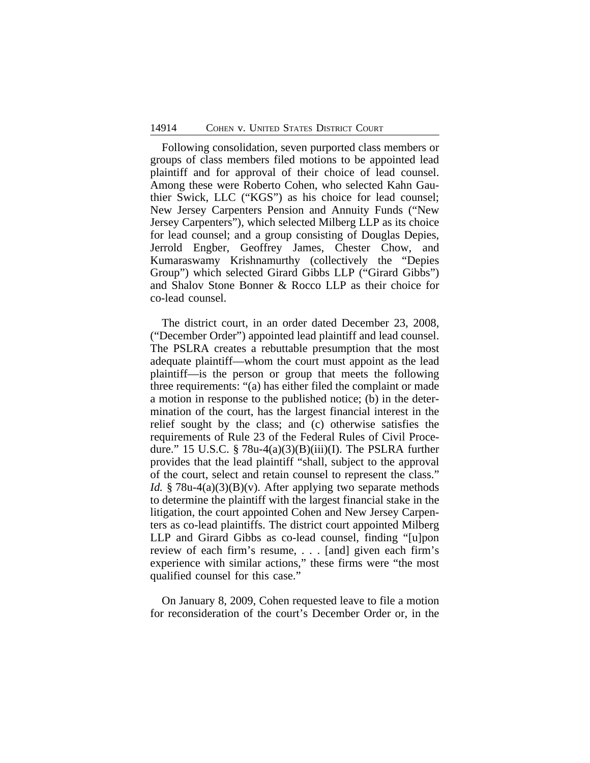Following consolidation, seven purported class members or groups of class members filed motions to be appointed lead plaintiff and for approval of their choice of lead counsel. Among these were Roberto Cohen, who selected Kahn Gauthier Swick, LLC ("KGS") as his choice for lead counsel; New Jersey Carpenters Pension and Annuity Funds ("New Jersey Carpenters"), which selected Milberg LLP as its choice for lead counsel; and a group consisting of Douglas Depies, Jerrold Engber, Geoffrey James, Chester Chow, and Kumaraswamy Krishnamurthy (collectively the "Depies Group") which selected Girard Gibbs LLP ("Girard Gibbs") and Shalov Stone Bonner & Rocco LLP as their choice for co-lead counsel.

The district court, in an order dated December 23, 2008, ("December Order") appointed lead plaintiff and lead counsel. The PSLRA creates a rebuttable presumption that the most adequate plaintiff—whom the court must appoint as the lead plaintiff—is the person or group that meets the following three requirements: "(a) has either filed the complaint or made a motion in response to the published notice; (b) in the determination of the court, has the largest financial interest in the relief sought by the class; and (c) otherwise satisfies the requirements of Rule 23 of the Federal Rules of Civil Procedure." 15 U.S.C.  $\S$  78u-4(a)(3)(B)(iii)(I). The PSLRA further provides that the lead plaintiff "shall, subject to the approval of the court, select and retain counsel to represent the class." *Id.* § 78u-4(a)(3)(B)(v). After applying two separate methods to determine the plaintiff with the largest financial stake in the litigation, the court appointed Cohen and New Jersey Carpenters as co-lead plaintiffs. The district court appointed Milberg LLP and Girard Gibbs as co-lead counsel, finding "[u]pon review of each firm's resume, . . . [and] given each firm's experience with similar actions," these firms were "the most qualified counsel for this case."

On January 8, 2009, Cohen requested leave to file a motion for reconsideration of the court's December Order or, in the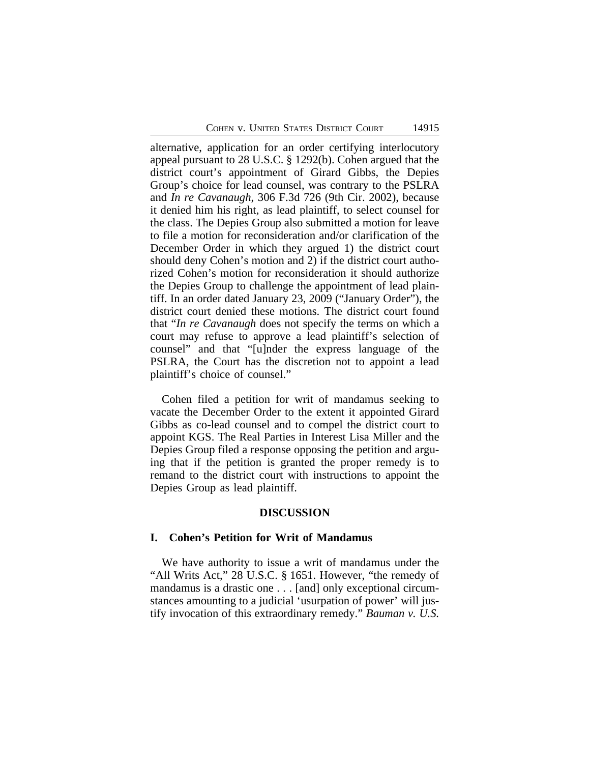alternative, application for an order certifying interlocutory appeal pursuant to 28 U.S.C. § 1292(b). Cohen argued that the district court's appointment of Girard Gibbs, the Depies Group's choice for lead counsel, was contrary to the PSLRA and *In re Cavanaugh*, 306 F.3d 726 (9th Cir. 2002), because it denied him his right, as lead plaintiff, to select counsel for the class. The Depies Group also submitted a motion for leave to file a motion for reconsideration and/or clarification of the December Order in which they argued 1) the district court should deny Cohen's motion and 2) if the district court authorized Cohen's motion for reconsideration it should authorize the Depies Group to challenge the appointment of lead plaintiff. In an order dated January 23, 2009 ("January Order"), the district court denied these motions. The district court found that "*In re Cavanaugh* does not specify the terms on which a court may refuse to approve a lead plaintiff's selection of counsel" and that "[u]nder the express language of the PSLRA, the Court has the discretion not to appoint a lead plaintiff's choice of counsel."

Cohen filed a petition for writ of mandamus seeking to vacate the December Order to the extent it appointed Girard Gibbs as co-lead counsel and to compel the district court to appoint KGS. The Real Parties in Interest Lisa Miller and the Depies Group filed a response opposing the petition and arguing that if the petition is granted the proper remedy is to remand to the district court with instructions to appoint the Depies Group as lead plaintiff.

#### **DISCUSSION**

#### **I. Cohen's Petition for Writ of Mandamus**

We have authority to issue a writ of mandamus under the "All Writs Act," 28 U.S.C. § 1651. However, "the remedy of mandamus is a drastic one . . . [and] only exceptional circumstances amounting to a judicial 'usurpation of power' will justify invocation of this extraordinary remedy." *Bauman v. U.S.*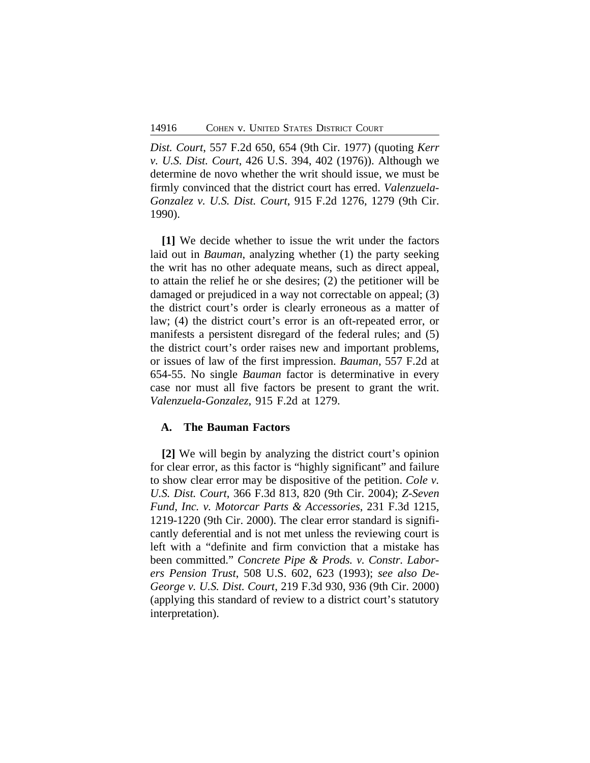*Dist. Court*, 557 F.2d 650, 654 (9th Cir. 1977) (quoting *Kerr v. U.S. Dist. Court*, 426 U.S. 394, 402 (1976)). Although we determine de novo whether the writ should issue, we must be firmly convinced that the district court has erred. *Valenzuela-Gonzalez v. U.S. Dist. Court*, 915 F.2d 1276, 1279 (9th Cir. 1990).

**[1]** We decide whether to issue the writ under the factors laid out in *Bauman*, analyzing whether (1) the party seeking the writ has no other adequate means, such as direct appeal, to attain the relief he or she desires; (2) the petitioner will be damaged or prejudiced in a way not correctable on appeal; (3) the district court's order is clearly erroneous as a matter of law; (4) the district court's error is an oft-repeated error, or manifests a persistent disregard of the federal rules; and (5) the district court's order raises new and important problems, or issues of law of the first impression. *Bauman*, 557 F.2d at 654-55. No single *Bauman* factor is determinative in every case nor must all five factors be present to grant the writ. *Valenzuela-Gonzalez*, 915 F.2d at 1279.

#### **A. The Bauman Factors**

**[2]** We will begin by analyzing the district court's opinion for clear error, as this factor is "highly significant" and failure to show clear error may be dispositive of the petition. *Cole v. U.S. Dist. Court*, 366 F.3d 813, 820 (9th Cir. 2004); *Z-Seven Fund, Inc. v. Motorcar Parts & Accessories*, 231 F.3d 1215, 1219-1220 (9th Cir. 2000). The clear error standard is significantly deferential and is not met unless the reviewing court is left with a "definite and firm conviction that a mistake has been committed." *Concrete Pipe & Prods. v. Constr. Laborers Pension Trust*, 508 U.S. 602, 623 (1993); *see also De-George v. U.S. Dist. Court*, 219 F.3d 930, 936 (9th Cir. 2000) (applying this standard of review to a district court's statutory interpretation).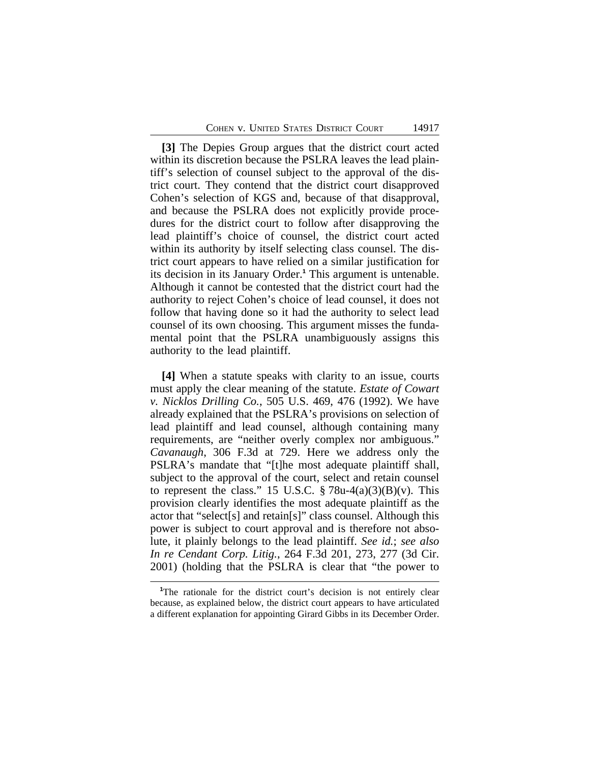**[3]** The Depies Group argues that the district court acted within its discretion because the PSLRA leaves the lead plaintiff's selection of counsel subject to the approval of the district court. They contend that the district court disapproved Cohen's selection of KGS and, because of that disapproval, and because the PSLRA does not explicitly provide procedures for the district court to follow after disapproving the lead plaintiff's choice of counsel, the district court acted within its authority by itself selecting class counsel. The district court appears to have relied on a similar justification for its decision in its January Order.**<sup>1</sup>** This argument is untenable. Although it cannot be contested that the district court had the authority to reject Cohen's choice of lead counsel, it does not follow that having done so it had the authority to select lead counsel of its own choosing. This argument misses the fundamental point that the PSLRA unambiguously assigns this authority to the lead plaintiff.

**[4]** When a statute speaks with clarity to an issue, courts must apply the clear meaning of the statute. *Estate of Cowart v. Nicklos Drilling Co.*, 505 U.S. 469, 476 (1992). We have already explained that the PSLRA's provisions on selection of lead plaintiff and lead counsel, although containing many requirements, are "neither overly complex nor ambiguous." *Cavanaugh*, 306 F.3d at 729. Here we address only the PSLRA's mandate that "[t]he most adequate plaintiff shall, subject to the approval of the court, select and retain counsel to represent the class." 15 U.S.C.  $\S 78u-4(a)(3)(B)(v)$ . This provision clearly identifies the most adequate plaintiff as the actor that "select[s] and retain[s]" class counsel. Although this power is subject to court approval and is therefore not absolute, it plainly belongs to the lead plaintiff. *See id.*; *see also In re Cendant Corp. Litig.*, 264 F.3d 201, 273, 277 (3d Cir. 2001) (holding that the PSLRA is clear that "the power to

<sup>&</sup>lt;sup>1</sup>The rationale for the district court's decision is not entirely clear because, as explained below, the district court appears to have articulated a different explanation for appointing Girard Gibbs in its December Order.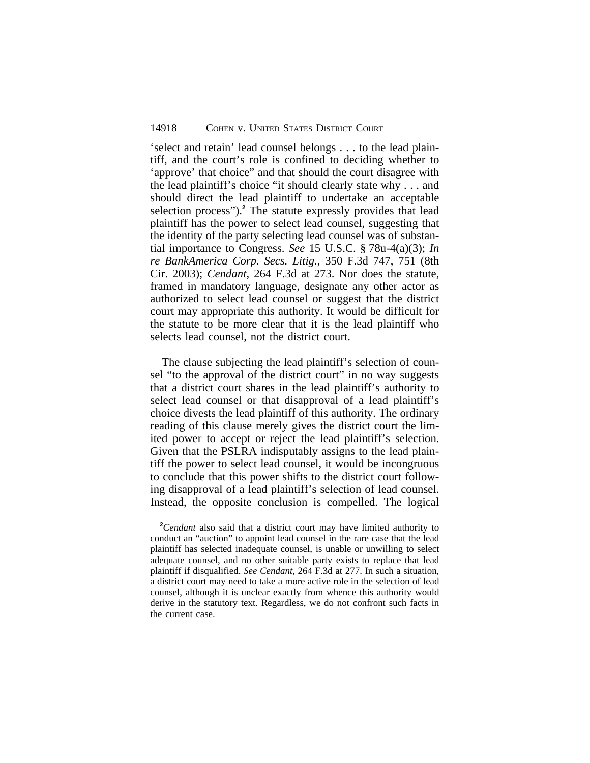'select and retain' lead counsel belongs . . . to the lead plaintiff, and the court's role is confined to deciding whether to 'approve' that choice" and that should the court disagree with the lead plaintiff's choice "it should clearly state why . . . and should direct the lead plaintiff to undertake an acceptable selection process").**<sup>2</sup>** The statute expressly provides that lead plaintiff has the power to select lead counsel, suggesting that the identity of the party selecting lead counsel was of substantial importance to Congress. *See* 15 U.S.C. § 78u-4(a)(3); *In re BankAmerica Corp. Secs. Litig.*, 350 F.3d 747, 751 (8th Cir. 2003); *Cendant*, 264 F.3d at 273. Nor does the statute, framed in mandatory language, designate any other actor as authorized to select lead counsel or suggest that the district court may appropriate this authority. It would be difficult for the statute to be more clear that it is the lead plaintiff who selects lead counsel, not the district court.

The clause subjecting the lead plaintiff's selection of counsel "to the approval of the district court" in no way suggests that a district court shares in the lead plaintiff's authority to select lead counsel or that disapproval of a lead plaintiff's choice divests the lead plaintiff of this authority. The ordinary reading of this clause merely gives the district court the limited power to accept or reject the lead plaintiff's selection. Given that the PSLRA indisputably assigns to the lead plaintiff the power to select lead counsel, it would be incongruous to conclude that this power shifts to the district court following disapproval of a lead plaintiff's selection of lead counsel. Instead, the opposite conclusion is compelled. The logical

**<sup>2</sup>***Cendant* also said that a district court may have limited authority to conduct an "auction" to appoint lead counsel in the rare case that the lead plaintiff has selected inadequate counsel, is unable or unwilling to select adequate counsel, and no other suitable party exists to replace that lead plaintiff if disqualified. *See Cendant*, 264 F.3d at 277. In such a situation, a district court may need to take a more active role in the selection of lead counsel, although it is unclear exactly from whence this authority would derive in the statutory text. Regardless, we do not confront such facts in the current case.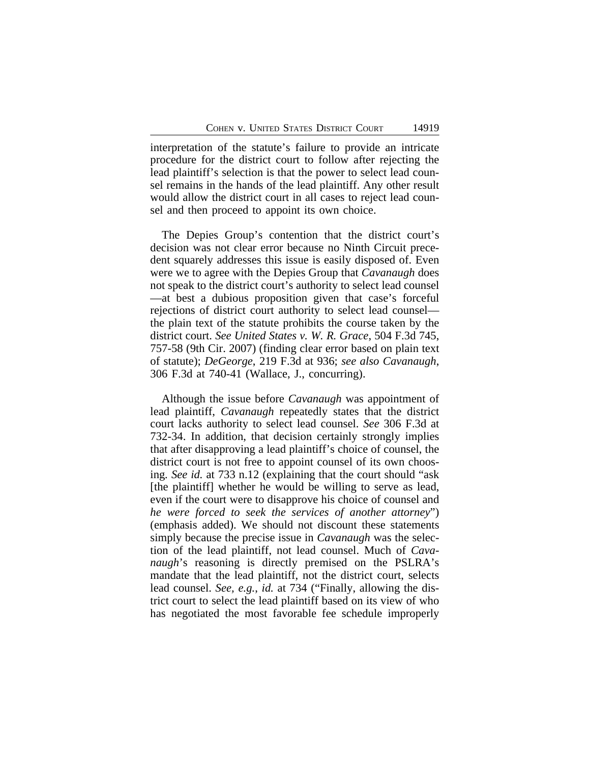interpretation of the statute's failure to provide an intricate procedure for the district court to follow after rejecting the lead plaintiff's selection is that the power to select lead counsel remains in the hands of the lead plaintiff. Any other result would allow the district court in all cases to reject lead counsel and then proceed to appoint its own choice.

The Depies Group's contention that the district court's decision was not clear error because no Ninth Circuit precedent squarely addresses this issue is easily disposed of. Even were we to agree with the Depies Group that *Cavanaugh* does not speak to the district court's authority to select lead counsel —at best a dubious proposition given that case's forceful rejections of district court authority to select lead counsel the plain text of the statute prohibits the course taken by the district court. *See United States v. W. R. Grace*, 504 F.3d 745, 757-58 (9th Cir. 2007) (finding clear error based on plain text of statute); *DeGeorge*, 219 F.3d at 936; *see also Cavanaugh*, 306 F.3d at 740-41 (Wallace, J., concurring).

Although the issue before *Cavanaugh* was appointment of lead plaintiff, *Cavanaugh* repeatedly states that the district court lacks authority to select lead counsel. *See* 306 F.3d at 732-34. In addition, that decision certainly strongly implies that after disapproving a lead plaintiff's choice of counsel, the district court is not free to appoint counsel of its own choosing*. See id.* at 733 n.12 (explaining that the court should "ask [the plaintiff] whether he would be willing to serve as lead, even if the court were to disapprove his choice of counsel and *he were forced to seek the services of another attorney*") (emphasis added). We should not discount these statements simply because the precise issue in *Cavanaugh* was the selection of the lead plaintiff, not lead counsel. Much of *Cavanaugh*'s reasoning is directly premised on the PSLRA's mandate that the lead plaintiff, not the district court, selects lead counsel. *See, e.g.*, *id.* at 734 ("Finally, allowing the district court to select the lead plaintiff based on its view of who has negotiated the most favorable fee schedule improperly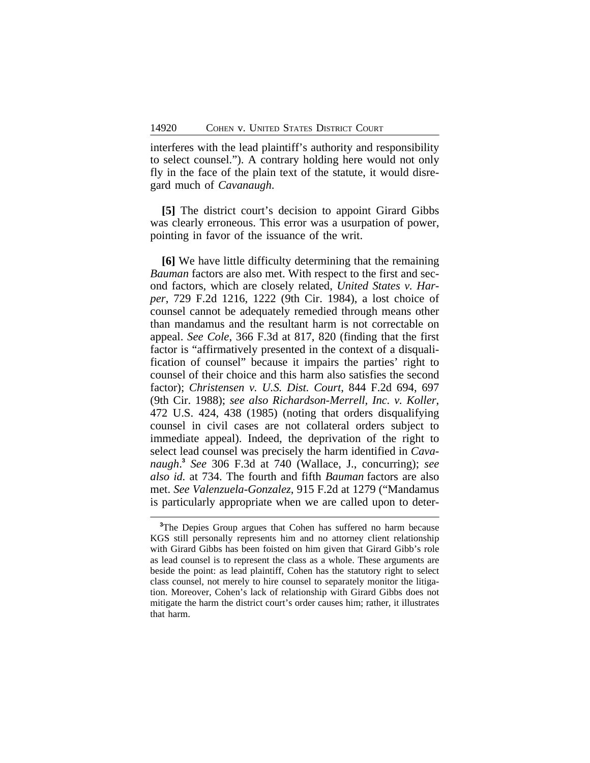interferes with the lead plaintiff's authority and responsibility to select counsel."). A contrary holding here would not only fly in the face of the plain text of the statute, it would disregard much of *Cavanaugh*.

**[5]** The district court's decision to appoint Girard Gibbs was clearly erroneous. This error was a usurpation of power, pointing in favor of the issuance of the writ.

**[6]** We have little difficulty determining that the remaining *Bauman* factors are also met. With respect to the first and second factors, which are closely related, *United States v. Harper*, 729 F.2d 1216, 1222 (9th Cir. 1984), a lost choice of counsel cannot be adequately remedied through means other than mandamus and the resultant harm is not correctable on appeal. *See Cole*, 366 F.3d at 817, 820 (finding that the first factor is "affirmatively presented in the context of a disqualification of counsel" because it impairs the parties' right to counsel of their choice and this harm also satisfies the second factor); *Christensen v. U.S. Dist. Court*, 844 F.2d 694, 697 (9th Cir. 1988); *see also Richardson-Merrell, Inc. v. Koller*, 472 U.S. 424, 438 (1985) (noting that orders disqualifying counsel in civil cases are not collateral orders subject to immediate appeal). Indeed, the deprivation of the right to select lead counsel was precisely the harm identified in *Cavanaugh*. **3** *See* 306 F.3d at 740 (Wallace, J., concurring); *see also id.* at 734. The fourth and fifth *Bauman* factors are also met. *See Valenzuela-Gonzalez*, 915 F.2d at 1279 ("Mandamus is particularly appropriate when we are called upon to deter-

**<sup>3</sup>**The Depies Group argues that Cohen has suffered no harm because KGS still personally represents him and no attorney client relationship with Girard Gibbs has been foisted on him given that Girard Gibb's role as lead counsel is to represent the class as a whole. These arguments are beside the point: as lead plaintiff, Cohen has the statutory right to select class counsel, not merely to hire counsel to separately monitor the litigation. Moreover, Cohen's lack of relationship with Girard Gibbs does not mitigate the harm the district court's order causes him; rather, it illustrates that harm.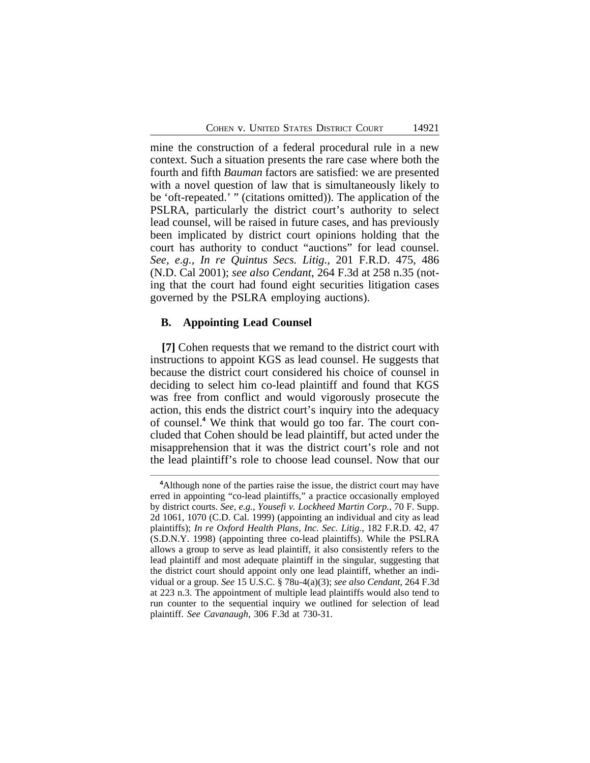mine the construction of a federal procedural rule in a new context. Such a situation presents the rare case where both the fourth and fifth *Bauman* factors are satisfied: we are presented with a novel question of law that is simultaneously likely to be 'oft-repeated.' " (citations omitted)). The application of the PSLRA, particularly the district court's authority to select lead counsel, will be raised in future cases, and has previously been implicated by district court opinions holding that the court has authority to conduct "auctions" for lead counsel. *See, e.g.*, *In re Quintus Secs. Litig.*, 201 F.R.D. 475, 486 (N.D. Cal 2001); *see also Cendant*, 264 F.3d at 258 n.35 (noting that the court had found eight securities litigation cases governed by the PSLRA employing auctions).

#### **B. Appointing Lead Counsel**

**[7]** Cohen requests that we remand to the district court with instructions to appoint KGS as lead counsel. He suggests that because the district court considered his choice of counsel in deciding to select him co-lead plaintiff and found that KGS was free from conflict and would vigorously prosecute the action, this ends the district court's inquiry into the adequacy of counsel.**<sup>4</sup>** We think that would go too far. The court concluded that Cohen should be lead plaintiff, but acted under the misapprehension that it was the district court's role and not the lead plaintiff's role to choose lead counsel. Now that our

**<sup>4</sup>**Although none of the parties raise the issue, the district court may have erred in appointing "co-lead plaintiffs," a practice occasionally employed by district courts. *See, e.g.*, *Yousefi v. Lockheed Martin Corp.*, 70 F. Supp. 2d 1061, 1070 (C.D. Cal. 1999) (appointing an individual and city as lead plaintiffs); *In re Oxford Health Plans, Inc. Sec. Litig.*, 182 F.R.D. 42, 47 (S.D.N.Y. 1998) (appointing three co-lead plaintiffs). While the PSLRA allows a group to serve as lead plaintiff, it also consistently refers to the lead plaintiff and most adequate plaintiff in the singular, suggesting that the district court should appoint only one lead plaintiff, whether an individual or a group. *See* 15 U.S.C. § 78u-4(a)(3); *see also Cendant*, 264 F.3d at 223 n.3. The appointment of multiple lead plaintiffs would also tend to run counter to the sequential inquiry we outlined for selection of lead plaintiff. *See Cavanaugh*, 306 F.3d at 730-31.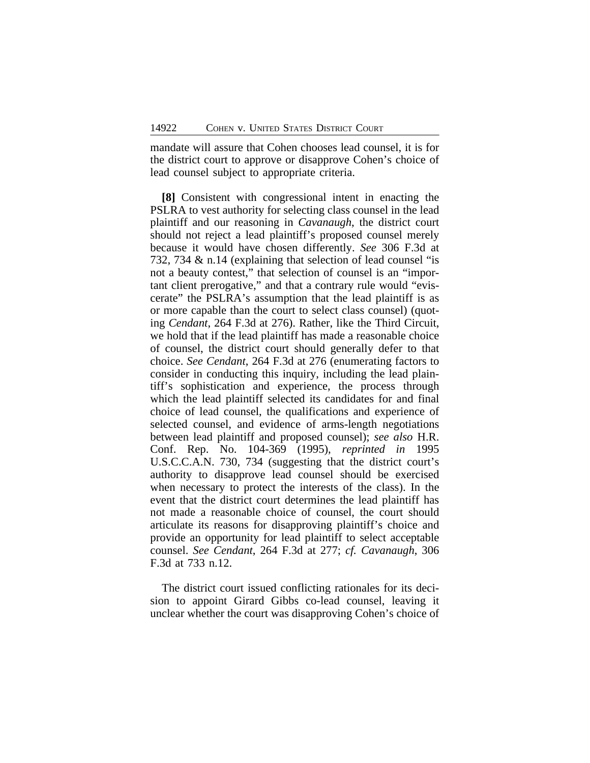mandate will assure that Cohen chooses lead counsel, it is for the district court to approve or disapprove Cohen's choice of lead counsel subject to appropriate criteria.

**[8]** Consistent with congressional intent in enacting the PSLRA to vest authority for selecting class counsel in the lead plaintiff and our reasoning in *Cavanaugh*, the district court should not reject a lead plaintiff's proposed counsel merely because it would have chosen differently. *See* 306 F.3d at 732, 734 & n.14 (explaining that selection of lead counsel "is not a beauty contest," that selection of counsel is an "important client prerogative," and that a contrary rule would "eviscerate" the PSLRA's assumption that the lead plaintiff is as or more capable than the court to select class counsel) (quoting *Cendant*, 264 F.3d at 276). Rather, like the Third Circuit, we hold that if the lead plaintiff has made a reasonable choice of counsel, the district court should generally defer to that choice. *See Cendant*, 264 F.3d at 276 (enumerating factors to consider in conducting this inquiry, including the lead plaintiff's sophistication and experience, the process through which the lead plaintiff selected its candidates for and final choice of lead counsel, the qualifications and experience of selected counsel, and evidence of arms-length negotiations between lead plaintiff and proposed counsel); *see also* H.R. Conf. Rep. No. 104-369 (1995), *reprinted in* 1995 U.S.C.C.A.N. 730, 734 (suggesting that the district court's authority to disapprove lead counsel should be exercised when necessary to protect the interests of the class). In the event that the district court determines the lead plaintiff has not made a reasonable choice of counsel, the court should articulate its reasons for disapproving plaintiff's choice and provide an opportunity for lead plaintiff to select acceptable counsel. *See Cendant*, 264 F.3d at 277; *cf. Cavanaugh*, 306 F.3d at 733 n.12.

The district court issued conflicting rationales for its decision to appoint Girard Gibbs co-lead counsel, leaving it unclear whether the court was disapproving Cohen's choice of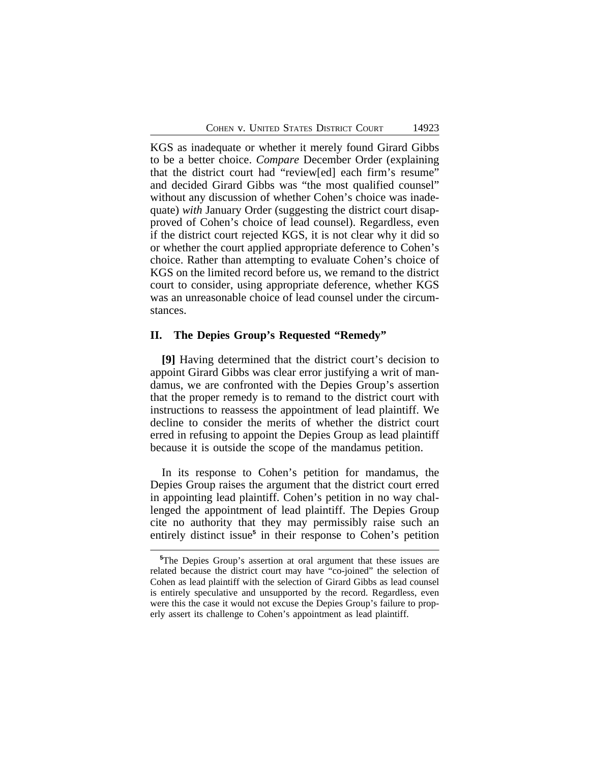KGS as inadequate or whether it merely found Girard Gibbs to be a better choice. *Compare* December Order (explaining that the district court had "review[ed] each firm's resume" and decided Girard Gibbs was "the most qualified counsel" without any discussion of whether Cohen's choice was inadequate) *with* January Order (suggesting the district court disapproved of Cohen's choice of lead counsel). Regardless, even if the district court rejected KGS, it is not clear why it did so or whether the court applied appropriate deference to Cohen's choice. Rather than attempting to evaluate Cohen's choice of KGS on the limited record before us, we remand to the district court to consider, using appropriate deference, whether KGS was an unreasonable choice of lead counsel under the circumstances.

### **II. The Depies Group's Requested "Remedy"**

**[9]** Having determined that the district court's decision to appoint Girard Gibbs was clear error justifying a writ of mandamus, we are confronted with the Depies Group's assertion that the proper remedy is to remand to the district court with instructions to reassess the appointment of lead plaintiff. We decline to consider the merits of whether the district court erred in refusing to appoint the Depies Group as lead plaintiff because it is outside the scope of the mandamus petition.

In its response to Cohen's petition for mandamus, the Depies Group raises the argument that the district court erred in appointing lead plaintiff. Cohen's petition in no way challenged the appointment of lead plaintiff. The Depies Group cite no authority that they may permissibly raise such an entirely distinct issue**<sup>5</sup>** in their response to Cohen's petition

**<sup>5</sup>**The Depies Group's assertion at oral argument that these issues are related because the district court may have "co-joined" the selection of Cohen as lead plaintiff with the selection of Girard Gibbs as lead counsel is entirely speculative and unsupported by the record. Regardless, even were this the case it would not excuse the Depies Group's failure to properly assert its challenge to Cohen's appointment as lead plaintiff.